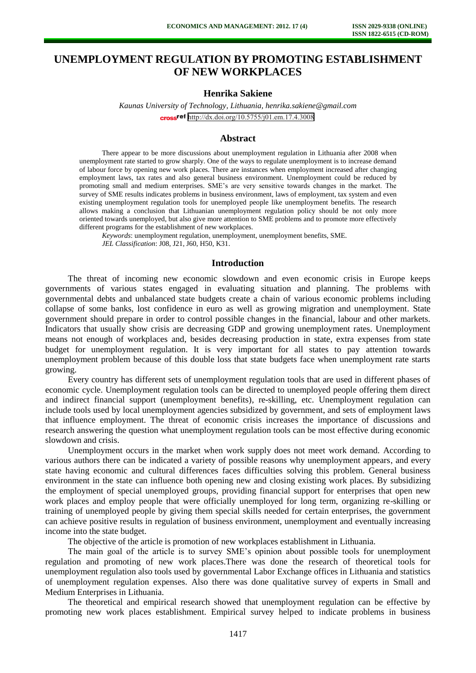# **UNEMPLOYMENT REGULATION BY PROMOTING ESTABLISHMENT OF NEW WORKPLACES**

# **Henrika Sakiene**

*Kaunas University of Technology, Lithuania, henrika.sakiene@gmail.com*  cross<sup>ref</sup> <http://dx.doi.org/10.5755/j01.em.17.4.3008>

#### **Abstract**

There appear to be more discussions about unemployment regulation in Lithuania after 2008 when unemployment rate started to grow sharply. One of the ways to regulate unemployment is to increase demand of labour force by opening new work places. There are instances when employment increased after changing employment laws, tax rates and also general business environment. Unemployment could be reduced by promoting small and medium enterprises. SME's are very sensitive towards changes in the market. The survey of SME results indicates problems in business environment, laws of employment, tax system and even existing unemployment regulation tools for unemployed people like unemployment benefits. The research allows making a conclusion that Lithuanian unemployment regulation policy should be not only more oriented towards unemployed, but also give more attention to SME problems and to promote more effectively different programs for the establishment of new workplaces.

*Keywords*: unemployment regulation, unemployment, unemployment benefits, SME. *JEL Classification*: J08, J21, J60, H50, K31.

#### **Introduction**

The threat of incoming new economic slowdown and even economic crisis in Europe keeps governments of various states engaged in evaluating situation and planning. The problems with governmental debts and unbalanced state budgets create a chain of various economic problems including collapse of some banks, lost confidence in euro as well as growing migration and unemployment. State government should prepare in order to control possible changes in the financial, labour and other markets. Indicators that usually show crisis are decreasing GDP and growing unemployment rates. Unemployment means not enough of workplaces and, besides decreasing production in state, extra expenses from state budget for unemployment regulation. It is very important for all states to pay attention towards unemployment problem because of this double loss that state budgets face when unemployment rate starts growing.

Every country has different sets of unemployment regulation tools that are used in different phases of economic cycle. Unemployment regulation tools can be directed to unemployed people offering them direct and indirect financial support (unemployment benefits), re-skilling, etc. Unemployment regulation can include tools used by local unemployment agencies subsidized by government, and sets of employment laws that influence employment. The threat of economic crisis increases the importance of discussions and research answering the question what unemployment regulation tools can be most effective during economic slowdown and crisis.

Unemployment occurs in the market when work supply does not meet work demand. According to various authors there can be indicated a variety of possible reasons why unemployment appears, and every state having economic and cultural differences faces difficulties solving this problem. General business environment in the state can influence both opening new and closing existing work places. By subsidizing the employment of special unemployed groups, providing financial support for enterprises that open new work places and employ people that were officially unemployed for long term, organizing re-skilling or training of unemployed people by giving them special skills needed for certain enterprises, the government can achieve positive results in regulation of business environment, unemployment and eventually increasing income into the state budget.

The objective of the article is promotion of new workplaces establishment in Lithuania.

The main goal of the article is to survey SME's opinion about possible tools for unemployment regulation and promoting of new work places.There was done the research of theoretical tools for unemployment regulation also tools used by governmental Labor Exchange offices in Lithuania and statistics of unemployment regulation expenses. Also there was done qualitative survey of experts in Small and Medium Enterprises in Lithuania.

The theoretical and empirical research showed that unemployment regulation can be effective by promoting new work places establishment. Empirical survey helped to indicate problems in business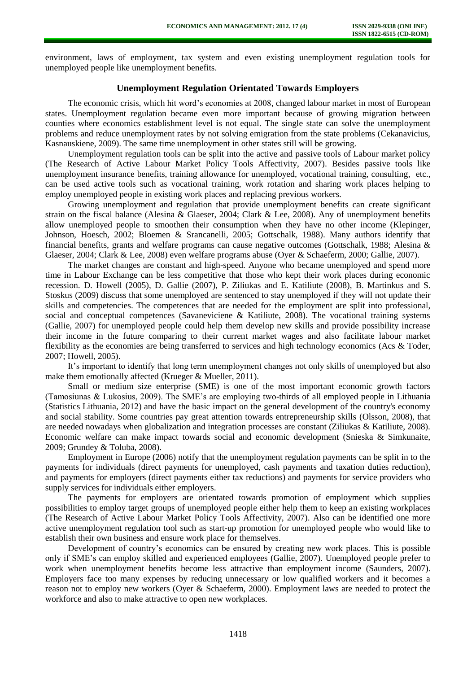environment, laws of employment, tax system and even existing unemployment regulation tools for unemployed people like unemployment benefits.

## **Unemployment Regulation Orientated Towards Employers**

The economic crisis, which hit word's economies at 2008, changed labour market in most of European states. Unemployment regulation became even more important because of growing migration between counties where economics establishment level is not equal. The single state can solve the unemployment problems and reduce unemployment rates by not solving emigration from the state problems (Cekanavicius, Kasnauskiene, 2009). The same time unemployment in other states still will be growing.

Unemployment regulation tools can be split into the active and passive tools of Labour market policy (The Research of Active Labour Market Policy Tools Affectivity, 2007). Besides passive tools like unemployment insurance benefits, training allowance for unemployed, vocational training, consulting, etc., can be used active tools such as vocational training, work rotation and sharing work places helping to employ unemployed people in existing work places and replacing previous workers.

Growing unemployment and regulation that provide unemployment benefits can create significant strain on the fiscal balance (Alesina & Glaeser, 2004; Clark & Lee, 2008). Any of unemployment benefits allow unemployed people to smoothen their consumption when they have no other income (Klepinger, Johnson, Hoesch, 2002; Bloemen & Srancanelli, 2005; Gottschalk, 1988). Many authors identify that financial benefits, grants and welfare programs can cause negative outcomes (Gottschalk, 1988; Alesina & Glaeser, 2004; Clark & Lee, 2008) even welfare programs abuse (Oyer & Schaeferm, 2000; Gallie, 2007).

The market changes are constant and high-speed. Anyone who became unemployed and spend more time in Labour Exchange can be less competitive that those who kept their work places during economic recession. D. Howell (2005), D. Gallie (2007), P. Ziliukas and E. Katiliute (2008), B. Martinkus and S. Stoskus (2009) discuss that some unemployed are sentenced to stay unemployed if they will not update their skills and competencies. The competences that are needed for the employment are split into professional, social and conceptual competences (Savaneviciene & Katiliute, 2008). The vocational training systems (Gallie, 2007) for unemployed people could help them develop new skills and provide possibility increase their income in the future comparing to their current market wages and also facilitate labour market flexibility as the economies are being transferred to services and high technology economics (Acs & Toder, 2007; Howell, 2005).

It's important to identify that long term unemployment changes not only skills of unemployed but also make them emotionally affected (Krueger & Mueller, 2011).

Small or medium size enterprise (SME) is one of the most important economic growth factors (Tamosiunas & Lukosius, 2009). The SME's are employing two-thirds of all employed people in Lithuania (Statistics Lithuania, 2012) and have the basic impact on the general development of the country's economy and social stability. Some countries pay great attention towards entrepreneurship skills (Olsson, 2008), that are needed nowadays when globalization and integration processes are constant (Ziliukas & Katiliute, 2008). Economic welfare can make impact towards social and economic development (Snieska & Simkunaite, 2009; Grundey & Toluba, 2008).

Employment in Europe (2006) notify that the unemployment regulation payments can be split in to the payments for individuals (direct payments for unemployed, cash payments and taxation duties reduction), and payments for employers (direct payments either tax reductions) and payments for service providers who supply services for individuals either employers.

The payments for employers are orientated towards promotion of employment which supplies possibilities to employ target groups of unemployed people either help them to keep an existing workplaces (The Research of Active Labour Market Policy Tools Affectivity, 2007). Also can be identified one more active unemployment regulation tool such as start-up promotion for unemployed people who would like to establish their own business and ensure work place for themselves.

Development of country's economics can be ensured by creating new work places. This is possible only if SME's can employ skilled and experienced employees (Gallie, 2007). Unemployed people prefer to work when unemployment benefits become less attractive than employment income (Saunders, 2007). Employers face too many expenses by reducing unnecessary or low qualified workers and it becomes a reason not to employ new workers (Oyer & Schaeferm, 2000). Employment laws are needed to protect the workforce and also to make attractive to open new workplaces.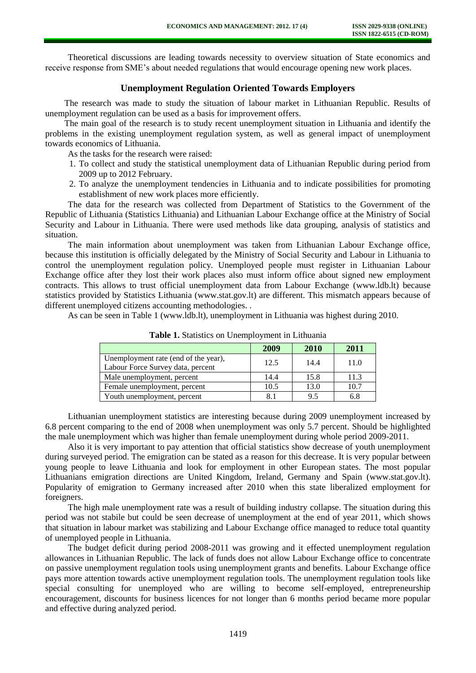Theoretical discussions are leading towards necessity to overview situation of State economics and receive response from SME's about needed regulations that would encourage opening new work places.

## **Unemployment Regulation Oriented Towards Employers**

The research was made to study the situation of labour market in Lithuanian Republic. Results of unemployment regulation can be used as a basis for improvement offers.

The main goal of the research is to study recent unemployment situation in Lithuania and identify the problems in the existing unemployment regulation system, as well as general impact of unemployment towards economics of Lithuania.

As the tasks for the research were raised:

- 1. To collect and study the statistical unemployment data of Lithuanian Republic during period from 2009 up to 2012 February.
- 2. To analyze the unemployment tendencies in Lithuania and to indicate possibilities for promoting establishment of new work places more efficiently.

The data for the research was collected from Department of Statistics to the Government of the Republic of Lithuania (Statistics Lithuania) and Lithuanian Labour Exchange office at the Ministry of Social Security and Labour in Lithuania. There were used methods like data grouping, analysis of statistics and situation.

The main information about unemployment was taken from Lithuanian Labour Exchange office, because this institution is officially delegated by the Ministry of Social Security and Labour in Lithuania to control the unemployment regulation policy. Unemployed people must register in Lithuanian Labour Exchange office after they lost their work places also must inform office about signed new employment contracts. This allows to trust official unemployment data from Labour Exchange (www.ldb.lt) because statistics provided by Statistics Lithuania (www.stat.gov.lt) are different. This mismatch appears because of different unemployed citizens accounting methodologies. .

As can be seen in Table 1 (www.ldb.lt), unemployment in Lithuania was highest during 2010.

|                                      | 2009 | 2010 | 2011 |
|--------------------------------------|------|------|------|
| Unemployment rate (end of the year), | 12.5 | 14.4 | 11.0 |
| Labour Force Survey data, percent    |      |      |      |
| Male unemployment, percent           | 14.4 | 15.8 | 11.3 |
| Female unemployment, percent         | 10.5 | 13.0 | 10.7 |
| Youth unemployment, percent          | 8.1  | 9.5  | 6.8  |

**Table 1.** Statistics on Unemployment in Lithuania

Lithuanian unemployment statistics are interesting because during 2009 unemployment increased by 6.8 percent comparing to the end of 2008 when unemployment was only 5.7 percent. Should be highlighted the male unemployment which was higher than female unemployment during whole period 2009-2011.

Also it is very important to pay attention that official statistics show decrease of youth unemployment during surveyed period. The emigration can be stated as a reason for this decrease. It is very popular between young people to leave Lithuania and look for employment in other European states. The most popular Lithuanians emigration directions are United Kingdom, Ireland, Germany and Spain (www.stat.gov.lt). Popularity of emigration to Germany increased after 2010 when this state liberalized employment for foreigners.

The high male unemployment rate was a result of building industry collapse. The situation during this period was not stabile but could be seen decrease of unemployment at the end of year 2011, which shows that situation in labour market was stabilizing and Labour Exchange office managed to reduce total quantity of unemployed people in Lithuania.

The budget deficit during period 2008-2011 was growing and it effected unemployment regulation allowances in Lithuanian Republic. The lack of funds does not allow Labour Exchange office to concentrate on passive unemployment regulation tools using unemployment grants and benefits. Labour Exchange office pays more attention towards active unemployment regulation tools. The unemployment regulation tools like special consulting for unemployed who are willing to become self-employed, entrepreneurship encouragement, discounts for business licences for not longer than 6 months period became more popular and effective during analyzed period.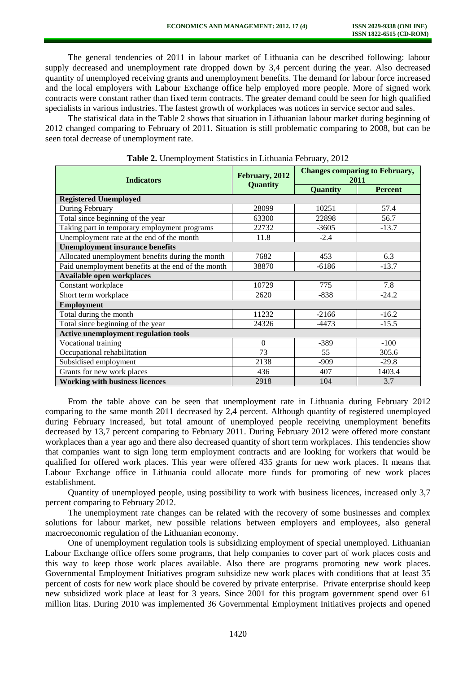The general tendencies of 2011 in labour market of Lithuania can be described following: labour supply decreased and unemployment rate dropped down by 3,4 percent during the year. Also decreased quantity of unemployed receiving grants and unemployment benefits. The demand for labour force increased and the local employers with Labour Exchange office help employed more people. More of signed work contracts were constant rather than fixed term contracts. The greater demand could be seen for high qualified specialists in various industries. The fastest growth of workplaces was notices in service sector and sales.

The statistical data in the Table 2 shows that situation in Lithuanian labour market during beginning of 2012 changed comparing to February of 2011. Situation is still problematic comparing to 2008, but can be seen total decrease of unemployment rate.

| <b>Indicators</b>                                  | February, 2012<br>Quantity | <b>Changes comparing to February,</b><br>2011 |                |  |  |
|----------------------------------------------------|----------------------------|-----------------------------------------------|----------------|--|--|
|                                                    |                            | Quantity                                      | <b>Percent</b> |  |  |
| <b>Registered Unemployed</b>                       |                            |                                               |                |  |  |
| During February                                    | 28099                      | 10251                                         | 57.4           |  |  |
| Total since beginning of the year                  | 63300                      | 22898                                         | 56.7           |  |  |
| Taking part in temporary employment programs       | 22732                      | $-3605$                                       | $-13.7$        |  |  |
| Unemployment rate at the end of the month          | 11.8                       | $-2.4$                                        |                |  |  |
| <b>Unemployment insurance benefits</b>             |                            |                                               |                |  |  |
| Allocated unemployment benefits during the month   | 7682                       | 453                                           | 6.3            |  |  |
| Paid unemployment benefits at the end of the month | 38870                      | $-6186$                                       | $-13.7$        |  |  |
| Available open workplaces                          |                            |                                               |                |  |  |
| Constant workplace                                 | 10729                      | 775                                           | 7.8            |  |  |
| Short term workplace                               | 2620                       | $-838$                                        | $-24.2$        |  |  |
| <b>Employment</b>                                  |                            |                                               |                |  |  |
| Total during the month                             | 11232                      | $-2166$                                       | $-16.2$        |  |  |
| Total since beginning of the year                  | 24326                      | $-4473$                                       | $-15.5$        |  |  |
| <b>Active unemployment regulation tools</b>        |                            |                                               |                |  |  |
| Vocational training                                | $\theta$                   | $-389$                                        | $-100$         |  |  |
| Occupational rehabilitation                        | 73                         | 55                                            | 305.6          |  |  |
| Subsidised employment                              | 2138                       | $-909$                                        | $-29.8$        |  |  |
| Grants for new work places                         | 436                        | 407                                           | 1403.4         |  |  |
| <b>Working with business licences</b>              | 2918                       | 104                                           | 3.7            |  |  |

**Table 2.** Unemployment Statistics in Lithuania February, 2012

From the table above can be seen that unemployment rate in Lithuania during February 2012 comparing to the same month 2011 decreased by 2,4 percent. Although quantity of registered unemployed during February increased, but total amount of unemployed people receiving unemployment benefits decreased by 13,7 percent comparing to February 2011. During February 2012 were offered more constant workplaces than a year ago and there also decreased quantity of short term workplaces. This tendencies show that companies want to sign long term employment contracts and are looking for workers that would be qualified for offered work places. This year were offered 435 grants for new work places. It means that Labour Exchange office in Lithuania could allocate more funds for promoting of new work places establishment.

Quantity of unemployed people, using possibility to work with business licences, increased only 3,7 percent comparing to February 2012.

The unemployment rate changes can be related with the recovery of some businesses and complex solutions for labour market, new possible relations between employers and employees, also general macroeconomic regulation of the Lithuanian economy.

One of unemployment regulation tools is subsidizing employment of special unemployed. Lithuanian Labour Exchange office offers some programs, that help companies to cover part of work places costs and this way to keep those work places available. Also there are programs promoting new work places. Governmental Employment Initiatives program subsidize new work places with conditions that at least 35 percent of costs for new work place should be covered by private enterprise. Private enterprise should keep new subsidized work place at least for 3 years. Since 2001 for this program government spend over 61 million litas. During 2010 was implemented 36 Governmental Employment Initiatives projects and opened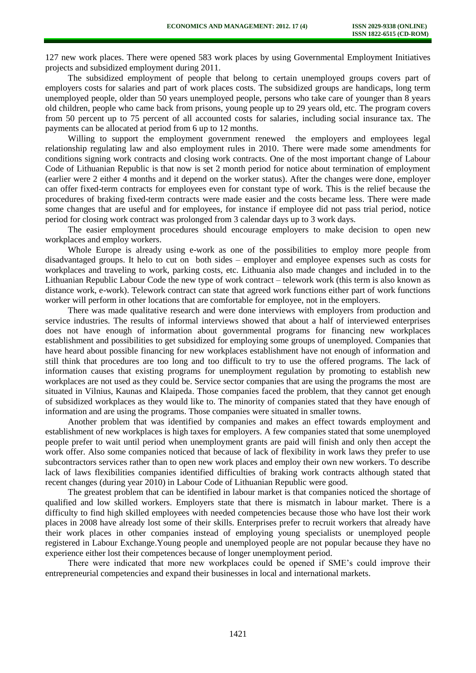127 new work places. There were opened 583 work places by using Governmental Employment Initiatives projects and subsidized employment during 2011.

The subsidized employment of people that belong to certain unemployed groups covers part of employers costs for salaries and part of work places costs. The subsidized groups are handicaps, long term unemployed people, older than 50 years unemployed people, persons who take care of younger than 8 years old children, people who came back from prisons, young people up to 29 years old, etc. The program covers from 50 percent up to 75 percent of all accounted costs for salaries, including social insurance tax. The payments can be allocated at period from 6 up to 12 months.

Willing to support the employment government renewed the employers and employees legal relationship regulating law and also employment rules in 2010. There were made some amendments for conditions signing work contracts and closing work contracts. One of the most important change of Labour Code of Lithuanian Republic is that now is set 2 month period for notice about termination of employment (earlier were 2 either 4 months and it depend on the worker status). After the changes were done, employer can offer fixed-term contracts for employees even for constant type of work. This is the relief because the procedures of braking fixed-term contracts were made easier and the costs became less. There were made some changes that are useful and for employees, for instance if employee did not pass trial period, notice period for closing work contract was prolonged from 3 calendar days up to 3 work days.

The easier employment procedures should encourage employers to make decision to open new workplaces and employ workers.

Whole Europe is already using e-work as one of the possibilities to employ more people from disadvantaged groups. It helo to cut on both sides – employer and employee expenses such as costs for workplaces and traveling to work, parking costs, etc. Lithuania also made changes and included in to the Lithuanian Republic Labour Code the new type of work contract – telework work (this term is also known as distance work, e-work). Telework contract can state that agreed work functions either part of work functions worker will perform in other locations that are comfortable for employee, not in the employers.

There was made qualitative research and were done interviews with employers from production and service industries. The results of informal interviews showed that about a half of interviewed enterprises does not have enough of information about governmental programs for financing new workplaces establishment and possibilities to get subsidized for employing some groups of unemployed. Companies that have heard about possible financing for new workplaces establishment have not enough of information and still think that procedures are too long and too difficult to try to use the offered programs. The lack of information causes that existing programs for unemployment regulation by promoting to establish new workplaces are not used as they could be. Service sector companies that are using the programs the most are situated in Vilnius, Kaunas and Klaipeda. Those companies faced the problem, that they cannot get enough of subsidized workplaces as they would like to. The minority of companies stated that they have enough of information and are using the programs. Those companies were situated in smaller towns.

Another problem that was identified by companies and makes an effect towards employment and establishment of new workplaces is high taxes for employers. A few companies stated that some unemployed people prefer to wait until period when unemployment grants are paid will finish and only then accept the work offer. Also some companies noticed that because of lack of flexibility in work laws they prefer to use subcontractors services rather than to open new work places and employ their own new workers. To describe lack of laws flexibilities companies identified difficulties of braking work contracts although stated that recent changes (during year 2010) in Labour Code of Lithuanian Republic were good.

The greatest problem that can be identified in labour market is that companies noticed the shortage of qualified and low skilled workers. Employers state that there is mismatch in labour market. There is a difficulty to find high skilled employees with needed competencies because those who have lost their work places in 2008 have already lost some of their skills. Enterprises prefer to recruit workers that already have their work places in other companies instead of employing young specialists or unemployed people registered in Labour Exchange.Young people and unemployed people are not popular because they have no experience either lost their competences because of longer unemployment period.

There were indicated that more new workplaces could be opened if SME's could improve their entrepreneurial competencies and expand their businesses in local and international markets.